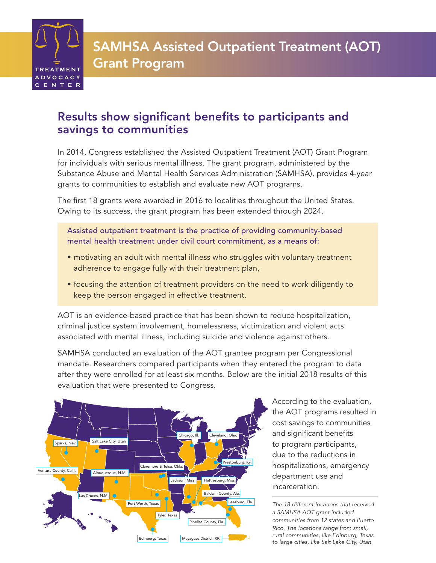

# Results show significant benefits to participants and savings to communities

In 2014, Congress established the Assisted Outpatient Treatment (AOT) Grant Program for individuals with serious mental illness. The grant program, administered by the Substance Abuse and Mental Health Services Administration (SAMHSA), provides 4-year grants to communities to establish and evaluate new AOT programs.

The first 18 grants were awarded in 2016 to localities throughout the United States. Owing to its success, the grant program has been extended through 2024.

Assisted outpatient treatment is the practice of providing community-based mental health treatment under civil court commitment, as a means of:

- motivating an adult with mental illness who struggles with voluntary treatment adherence to engage fully with their treatment plan,
- focusing the attention of treatment providers on the need to work diligently to keep the person engaged in effective treatment.

AOT is an evidence-based practice that has been shown to reduce hospitalization, criminal justice system involvement, homelessness, victimization and violent acts associated with mental illness, including suicide and violence against others.

SAMHSA conducted an evaluation of the AOT grantee program per Congressional mandate. Researchers compared participants when they entered the program to data after they were enrolled for at least six months. Below are the initial 2018 results of this evaluation that were presented to Congress.



According to the evaluation, the AOT programs resulted in cost savings to communities and significant benefits to program participants, due to the reductions in hospitalizations, emergency department use and incarceration.

*The 18 different locations that received a SAMHSA AOT grant included communities from 12 states and Puerto Rico. The locations range from small, rural communities, like Edinburg, Texas to large cities, like Salt Lake City, Utah.*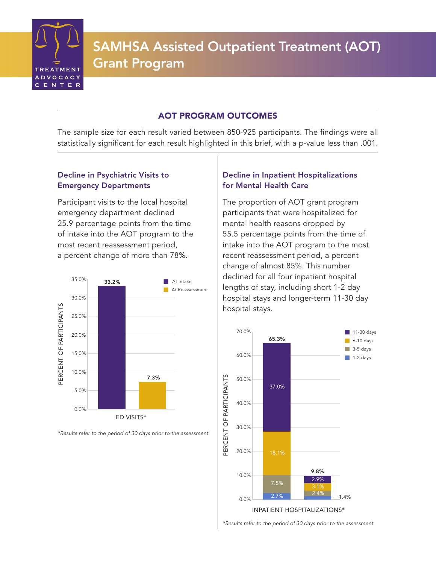

# AOT PROGRAM OUTCOMES

The sample size for each result varied between 850-925 participants. The findings were all statistically significant for each result highlighted in this brief, with a p-value less than .001.

# Decline in Psychiatric Visits to Emergency Departments

Participant visits to the local hospital emergency department declined 25.9 percentage points from the time of intake into the AOT program to the most recent reassessment period, a percent change of more than 78%.



*\*Results refer to the period of 30 days prior to the assessment*

# Decline in Inpatient Hospitalizations for Mental Health Care

The proportion of AOT grant program participants that were hospitalized for mental health reasons dropped by 55.5 percentage points from the time of intake into the AOT program to the most recent reassessment period, a percent change of almost 85%. This number declined for all four inpatient hospital lengths of stay, including short 1-2 day hospital stays and longer-term 11-30 day hospital stays.



*\*Results refer to the period of 30 days prior to the assessment*